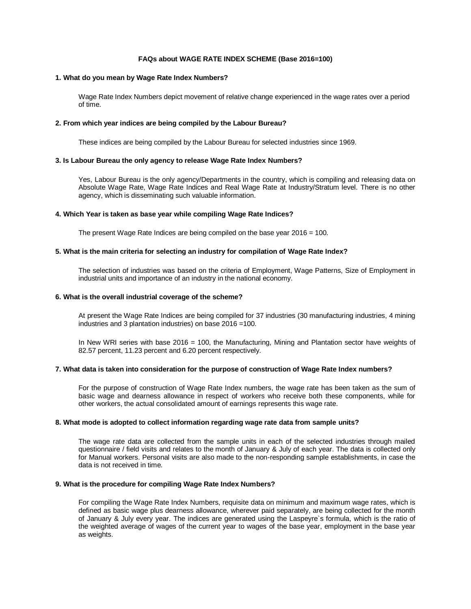# **FAQs about WAGE RATE INDEX SCHEME (Base 2016=100)**

## **1. What do you mean by Wage Rate Index Numbers?**

Wage Rate Index Numbers depict movement of relative change experienced in the wage rates over a period of time.

#### **2. From which year indices are being compiled by the Labour Bureau?**

These indices are being compiled by the Labour Bureau for selected industries since 1969.

## **3. Is Labour Bureau the only agency to release Wage Rate Index Numbers?**

Yes, Labour Bureau is the only agency/Departments in the country, which is compiling and releasing data on Absolute Wage Rate, Wage Rate Indices and Real Wage Rate at Industry/Stratum level. There is no other agency, which is disseminating such valuable information.

## **4. Which Year is taken as base year while compiling Wage Rate Indices?**

The present Wage Rate Indices are being compiled on the base year 2016 = 100.

#### **5. What is the main criteria for selecting an industry for compilation of Wage Rate Index?**

The selection of industries was based on the criteria of Employment, Wage Patterns, Size of Employment in industrial units and importance of an industry in the national economy.

## **6. What is the overall industrial coverage of the scheme?**

At present the Wage Rate Indices are being compiled for 37 industries (30 manufacturing industries, 4 mining industries and 3 plantation industries) on base 2016 =100.

In New WRI series with base 2016 = 100, the Manufacturing, Mining and Plantation sector have weights of 82.57 percent, 11.23 percent and 6.20 percent respectively.

#### **7. What data is taken into consideration for the purpose of construction of Wage Rate Index numbers?**

For the purpose of construction of Wage Rate Index numbers, the wage rate has been taken as the sum of basic wage and dearness allowance in respect of workers who receive both these components, while for other workers, the actual consolidated amount of earnings represents this wage rate.

## **8. What mode is adopted to collect information regarding wage rate data from sample units?**

The wage rate data are collected from the sample units in each of the selected industries through mailed questionnaire / field visits and relates to the month of January & July of each year. The data is collected only for Manual workers. Personal visits are also made to the non-responding sample establishments, in case the data is not received in time.

# **9. What is the procedure for compiling Wage Rate Index Numbers?**

For compiling the Wage Rate Index Numbers, requisite data on minimum and maximum wage rates, which is defined as basic wage plus dearness allowance, wherever paid separately, are being collected for the month of January & July every year. The indices are generated using the Laspeyre`s formula, which is the ratio of the weighted average of wages of the current year to wages of the base year, employment in the base year as weights.